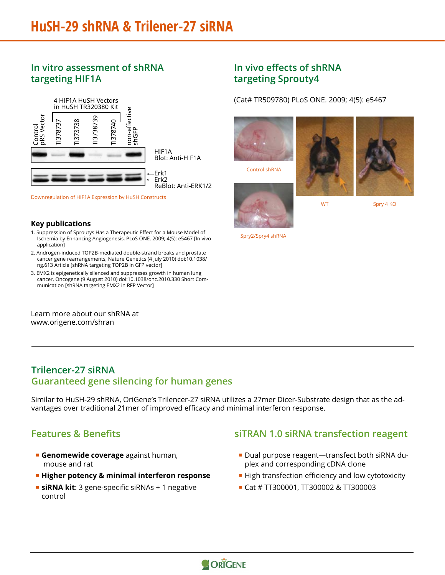## **In vitro assessment of shRNA targeting HIF1A**



Downregulation of HIF1A Expression by HuSH Constructs

### **Key publications**

- 1. Suppression of Sproutys Has a Therapeutic Effect for a Mouse Model of Ischemia by Enhancing Angiogenesis, PLoS ONE. 2009; 4(5): e5467 [In vivo application]
- 2. Androgen-induced TOP2B-mediated double-strand breaks and prostate cancer gene rearrangements, Nature Genetics (4 July 2010) doi:10.1038/ ng.613 Article [shRNA targeting TOP2B in GFP vector]
- 3. EMX2 is epigenetically silenced and suppresses growth in human lung cancer, Oncogene (9 August 2010) doi:10.1038/onc.2010.330 Short Communication [shRNA targeting EMX2 in RFP Vector]

Learn more about our shRNA at www.origene.com/shran

### **In vivo effects of shRNA targeting Sprouty4**

(Cat# TR509780) PLoS ONE. 2009; 4(5): e5467



Spry2/Spry4 shRNA

### **Trilencer-27 siRNA Guaranteed gene silencing for human genes**

Similar to HuSH-29 shRNA, OriGene's Trilencer-27 siRNA utilizes a 27mer Dicer-Substrate design that as the advantages over traditional 21mer of improved efficacy and minimal interferon response.

### **Features & Benefits**

- **Genomewide coverage** against human, mouse and rat
- **Higher potency & minimal interferon response**
- **siRNA kit:** 3 gene-specific siRNAs + 1 negative control

### **siTRAN 1.0 siRNA transfection reagent**

- Dual purpose reagent—transfect both siRNA duplex and corresponding cDNA clone
- **High transfection efficiency and low cytotoxicity**
- Cat # TT300001, TT300002 & TT300003

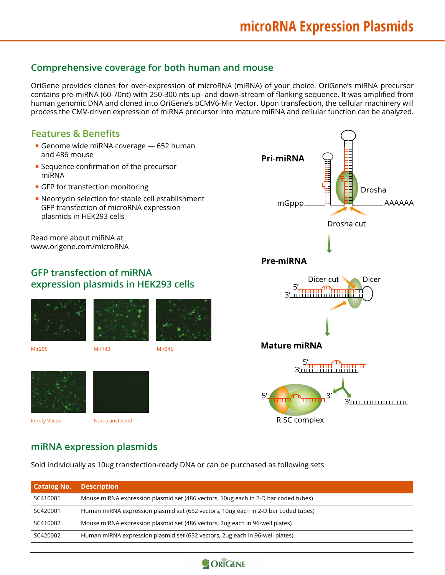Drosha

**Dicer** 

Drosha cut

AAAAAA

## **Comprehensive coverage for both human and mouse**

OriGene provides clones for over-expression of microRNA (miRNA) of your choice. OriGene's miRNA precursor contains pre-miRNA (60-70nt) with 250-300 nts up- and down-stream of flanking sequence. It was amplified from human genomic DNA and cloned into OriGene's pCMV6-Mir Vector. Upon transfection, the cellular machinery will process the CMV-driven expression of miRNA precursor into mature miRNA and cellular function can be analyzed.

### **Features & Benefits**

- Genome wide miRNA coverage 652 human and 486 mouse
- **Sequence confirmation of the precursor** miRNA
- **GFP** for transfection monitoring
- Neomycin selection for stable cell establishment GFP transfection of microRNA expression plasmids in HEK293 cells

Read more about miRNA at www.origene.com/microRNA

### **GFP transfection of miRNA expression plasmids in HEK293 cells**







Mir205 Mir143 Mir34b







**Pre-miRNA** 

**Pri-miRNA** 

mGppp.



## **miRNA expression plasmids**

Sold individually as 10ug transfection-ready DNA or can be purchased as following sets

| <b>Catalog No.</b> | <b>Description</b>                                                                 |
|--------------------|------------------------------------------------------------------------------------|
| SC410001           | Mouse miRNA expression plasmid set (486 vectors, 10ug each in 2-D bar coded tubes) |
| SC420001           | Human miRNA expression plasmid set (652 vectors, 10ug each in 2-D bar coded tubes) |
| SC410002           | Mouse miRNA expression plasmid set (486 vectors, 2ug each in 96-well plates)       |
| SC420002           | Human miRNA expression plasmid set (652 vectors, 2ug each in 96-well plates)       |

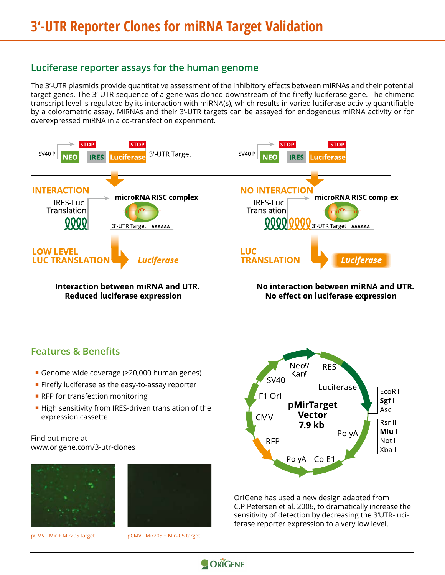### **Luciferase reporter assays for the human genome**

The 3'-UTR plasmids provide quantitative assessment of the inhibitory effects between miRNAs and their potential target genes. The 3'-UTR sequence of a gene was cloned downstream of the firefly luciferase gene. The chimeric transcript level is regulated by its interaction with miRNA(s), which results in varied luciferase activity quantifiable by a colorometric assay. MiRNAs and their 3'-UTR targets can be assayed for endogenous miRNA activity or for overexpressed miRNA in a co-transfection experiment.



**Interaction between miRNA and UTR. Reduced luciferase expression** 

No interaction between miRNA and UTR. No effect on luciferase expression

### **Features & Benefits**

- Genome wide coverage (>20,000 human genes)
- **Firefly luciferase as the easy-to-assay reporter**
- **RFP** for transfection monitoring
- High sensitivity from IRES-driven translation of the expression cassette

### Find out more at www.origene.com/3-utr-clones





pCMV - Mir + Mir205 target pCMV - Mir205 + Mir205 target



OriGene has used a new design adapted from C.P.Petersen et al. 2006, to dramatically increase the sensitivity of detection by decreasing the 3'UTR-luciferase reporter expression to a very low level.

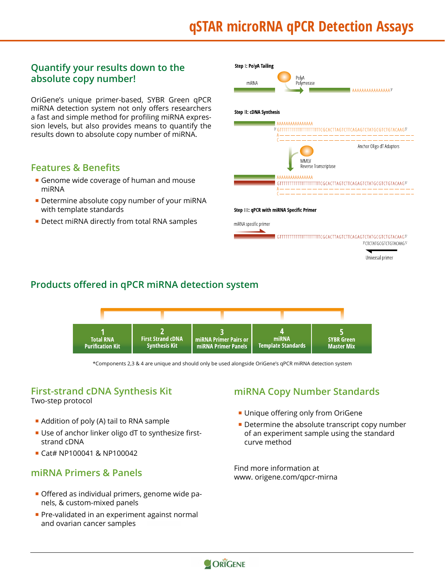# **qSTAR microRNA qPCR Detection Assays**

## **Quantify your results down to the absolute copy number!**

OriGene's unique primer-based, SYBR Green qPCR miRNA detection system not only offers researchers a fast and simple method for profiling miRNA expression levels, but also provides means to quantify the results down to absolute copy number of miRNA.

### **Features & Benefits**

- Genome wide coverage of human and mouse miRNA
- Determine absolute copy number of your miRNA with template standards
- Detect miRNA directly from total RNA samples



## **Products offered in qPCR miRNA detection system**



\*Components 2,3 & 4 are unique and should only be used alongside OriGene's qPCR miRNA detection system

### **First-strand cDNA Synthesis Kit**

Two-step protocol

- Addition of poly (A) tail to RNA sample
- Use of anchor linker oligo dT to synthesize firststrand cDNA
- Cat# NP100041 & NP100042

### **miRNA Primers & Panels**

- Offered as individual primers, genome wide panels, & custom-mixed panels
- **Pre-validated in an experiment against normal** and ovarian cancer samples

## **miRNA Copy Number Standards**

- **Unique offering only from OriGene**
- **Determine the absolute transcript copy number** of an experiment sample using the standard curve method

Find more information at www. origene.com/qpcr-mirna